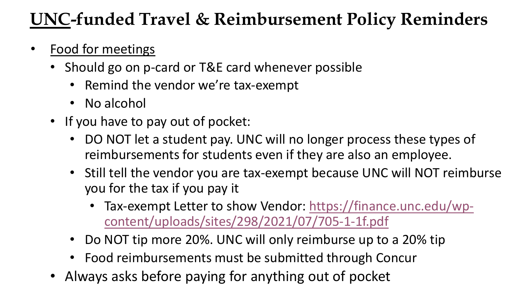## **UNC-funded Travel & Reimbursement Policy Reminders**

## • Food for meetings

- Should go on p-card or T&E card whenever possible
	- Remind the vendor we're tax-exempt
	- No alcohol
- If you have to pay out of pocket:
	- DO NOT let a student pay. UNC will no longer process these types of reimbursements for students even if they are also an employee.
	- Still tell the vendor you are tax-exempt because UNC will NOT reimburse you for the tax if you pay it
		- [Tax-exempt Letter to show Vendor: https://finance.unc.edu/wp](https://finance.unc.edu/wp-content/uploads/sites/298/2021/07/705-1-1f.pdf)content/uploads/sites/298/2021/07/705-1-1f.pdf
	- Do NOT tip more 20%. UNC will only reimburse up to a 20% tip
	- Food reimbursements must be submitted through Concur
- Always asks before paying for anything out of pocket